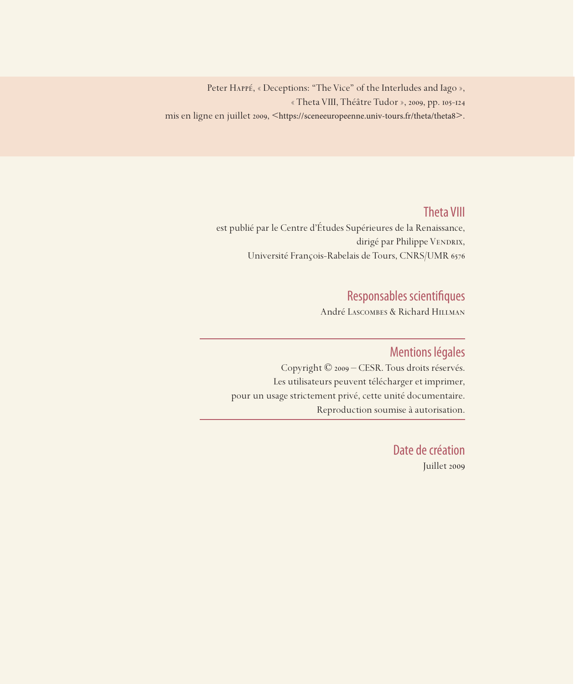Peter Happé, « Deceptions: "The Vice" of the Interludes and Iago », « Theta VIII, Théâtre Tudor », 2009, pp. 105-124 mis en ligne en juillet 2009, <https://sceneeuropeenne.univ-tours.fr/theta/theta8>.

## Theta VIII

est publié par le Centre d'Études Supérieures de la Renaissance, dirigé par Philippe VENDRIX, Université François-Rabelais de Tours, CNRS/UMR 6576

## Responsables scientifiques

André Lascombes & Richard Hillman

### Mentions légales

Copyright © 2009 – CESR. Tous droits réservés. Les utilisateurs peuvent télécharger et imprimer, pour un usage strictement privé, cette unité documentaire. Reproduction soumise à autorisation.

> Date de création Juillet 2009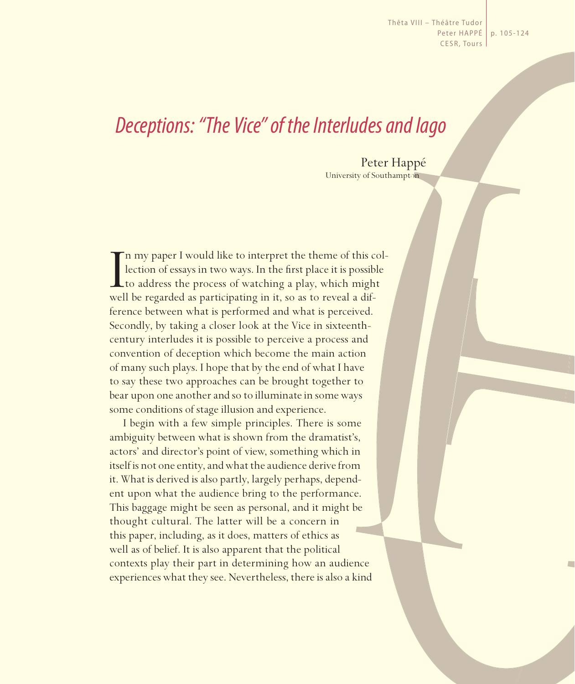Thêta VIII – Théâtre Tudor Peter HaPPé p. 105-124 CESR, Tours

# *Deceptions: "The Vice" of the Interludes and Iago*

Peter Happé University of Southampton

I<br>wel n my paper I would like to interpret the theme of this collection of essays in two ways. In the first place it is possible to address the process of watching a play, which might well be regarded as participating in it, so as to reveal a difference between what is performed and what is perceived. Secondly, by taking a closer look at the Vice in sixteenthcentury interludes it is possible to perceive a process and convention of deception which become the main action of many such plays. I hope that by the end of what I have to say these two approaches can be brought together to bear upon one another and so to illuminate in some ways some conditions of stage illusion and experience.

I begin with a few simple principles. There is some ambiguity between what is shown from the dramatist's, actors' and director's point of view, something which in itself is not one entity, and what the audience derive from it. What is derived is also partly, largely perhaps, dependent upon what the audience bring to the performance. This baggage might be seen as personal, and it might be thought cultural. The latter will be a concern in this paper, including, as it does, matters of ethics as well as of belief. It is also apparent that the political contexts play their part in determining how an audience experiences what they see. Nevertheless, there is also a kind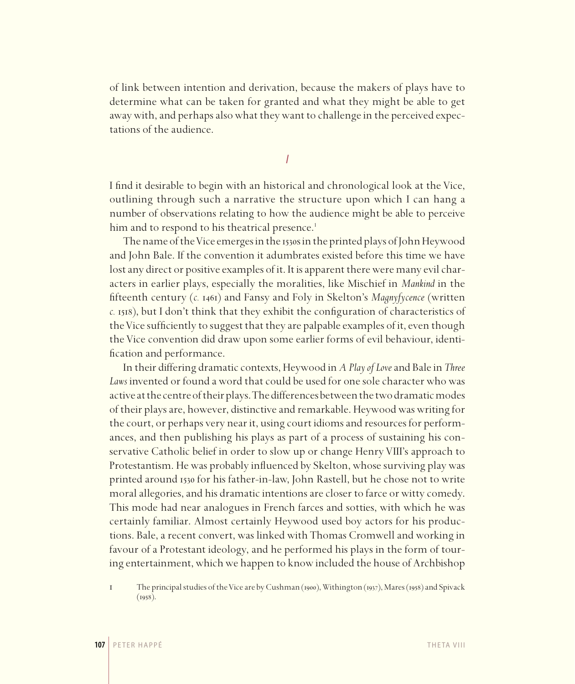of link between intention and derivation, because the makers of plays have to determine what can be taken for granted and what they might be able to get away with, and perhaps also what they want to challenge in the perceived expectations of the audience.

*I*

I find it desirable to begin with an historical and chronological look at the Vice, outlining through such a narrative the structure upon which I can hang a number of observations relating to how the audience might be able to perceive him and to respond to his theatrical presence.<sup>1</sup>

The name of the Vice emerges in the 1530s in the printed plays of John Heywood and John Bale. If the convention it adumbrates existed before this time we have lost any direct or positive examples of it. It is apparent there were many evil characters in earlier plays, especially the moralities, like Mischief in *Mankind* in the fifteenth century (*c.* 1461) and Fansy and Foly in Skelton's *Magnyfycence* (written *c.* 1518), but I don't think that they exhibit the configuration of characteristics of the Vice sufficiently to suggest that they are palpable examples of it, even though the Vice convention did draw upon some earlier forms of evil behaviour, identification and performance.

In their differing dramatic contexts, Heywood in *A Play of Love* and Bale in *Three*  Laws invented or found a word that could be used for one sole character who was active at the centre of their plays. The differences between the two dramatic modes of their plays are, however, distinctive and remarkable. Heywood was writing for the court, or perhaps very near it, using court idioms and resources for performances, and then publishing his plays as part of a process of sustaining his conservative Catholic belief in order to slow up or change Henry VIII's approach to Protestantism. He was probably influenced by Skelton, whose surviving play was printed around 1530 for his father-in-law, John Rastell, but he chose not to write moral allegories, and his dramatic intentions are closer to farce or witty comedy. This mode had near analogues in French farces and sotties, with which he was certainly familiar. Almost certainly Heywood used boy actors for his productions. Bale, a recent convert, was linked with Thomas Cromwell and working in favour of a Protestant ideology, and he performed his plays in the form of touring entertainment, which we happen to know included the house of Archbishop

<sup>1</sup> The principal studies of the Vice are by Cushman (1900), Withington (1937), Mares (1958) and Spivack  $(1958).$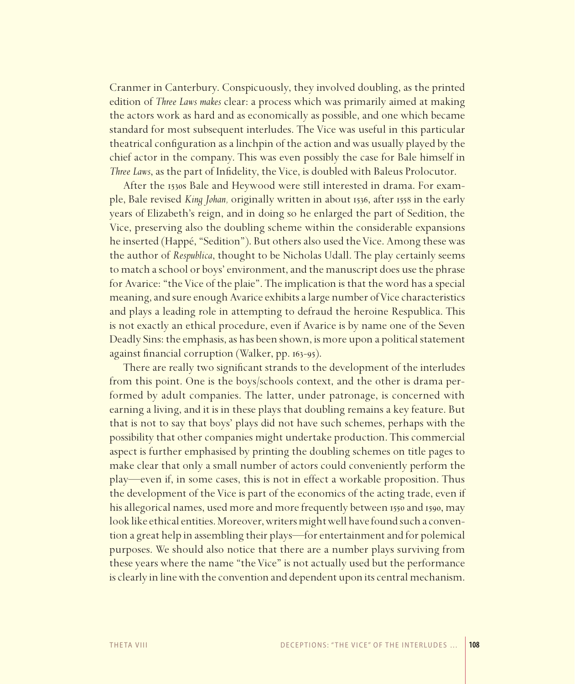Cranmer in Canterbury. Conspicuously, they involved doubling, as the printed edition of *Three Laws makes* clear: a process which was primarily aimed at making the actors work as hard and as economically as possible, and one which became standard for most subsequent interludes. The Vice was useful in this particular theatrical configuration as a linchpin of the action and was usually played by the chief actor in the company. This was even possibly the case for Bale himself in *Three Laws*, as the part of Infidelity, the Vice, is doubled with Baleus Prolocutor.

After the 1530s Bale and Heywood were still interested in drama. For example, Bale revised *King Johan,* originally written in about 1536, after 1558 in the early years of Elizabeth's reign, and in doing so he enlarged the part of Sedition, the Vice, preserving also the doubling scheme within the considerable expansions he inserted (Happé, "Sedition"). But others also used the Vice. Among these was the author of *Respublica*, thought to be Nicholas Udall. The play certainly seems to match a school or boys' environment, and the manuscript does use the phrase for Avarice: "the Vice of the plaie". The implication is that the word has a special meaning, and sure enough Avarice exhibits a large number of Vice characteristics and plays a leading role in attempting to defraud the heroine Respublica. This is not exactly an ethical procedure, even if Avarice is by name one of the Seven Deadly Sins: the emphasis, as has been shown, is more upon a political statement against financial corruption (Walker, pp. 163-95).

There are really two significant strands to the development of the interludes from this point. One is the boys/schools context, and the other is drama performed by adult companies. The latter, under patronage, is concerned with earning a living, and it is in these plays that doubling remains a key feature. But that is not to say that boys' plays did not have such schemes, perhaps with the possibility that other companies might undertake production. This commercial aspect is further emphasised by printing the doubling schemes on title pages to make clear that only a small number of actors could conveniently perform the play—even if, in some cases, this is not in effect a workable proposition. Thus the development of the Vice is part of the economics of the acting trade, even if his allegorical names, used more and more frequently between 1550 and 1590, may look like ethical entities. Moreover, writers might well have found such a convention a great help in assembling their plays—for entertainment and for polemical purposes. We should also notice that there are a number plays surviving from these years where the name "the Vice" is not actually used but the performance is clearly in line with the convention and dependent upon its central mechanism.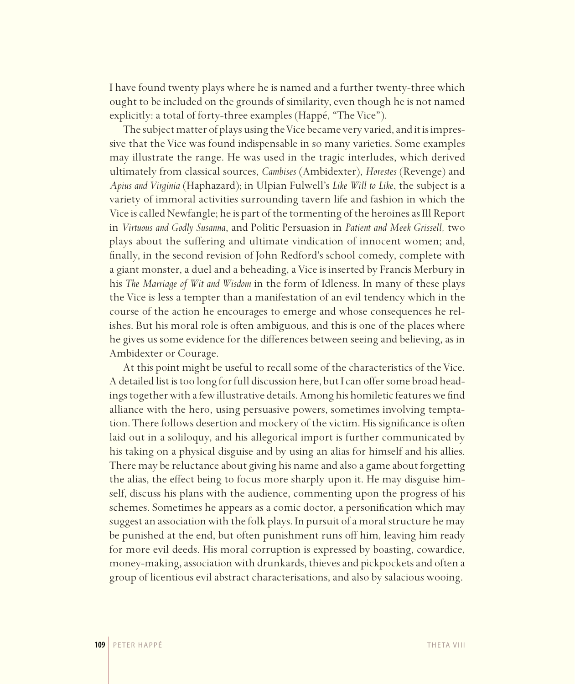I have found twenty plays where he is named and a further twenty-three which ought to be included on the grounds of similarity, even though he is not named explicitly: a total of forty-three examples (Happé, "The Vice").

The subject matter of plays using the Vice became very varied, and it is impressive that the Vice was found indispensable in so many varieties. Some examples may illustrate the range. He was used in the tragic interludes, which derived ultimately from classical sources, *Cambises* (Ambidexter), *Horestes* (Revenge) and *Apius and Virginia* (Haphazard); in Ulpian Fulwell's *Like Will to Like*, the subject is a variety of immoral activities surrounding tavern life and fashion in which the Vice is called Newfangle; he is part of the tormenting of the heroines as Ill Report in *Virtuous and Godly Susanna*, and Politic Persuasion in *Patient and Meek Grissell,* two plays about the suffering and ultimate vindication of innocent women; and, finally, in the second revision of John Redford's school comedy, complete with a giant monster, a duel and a beheading, a Vice is inserted by Francis Merbury in his *The Marriage of Wit and Wisdom* in the form of Idleness. In many of these plays the Vice is less a tempter than a manifestation of an evil tendency which in the course of the action he encourages to emerge and whose consequences he relishes. But his moral role is often ambiguous, and this is one of the places where he gives us some evidence for the differences between seeing and believing, as in Ambidexter or Courage.

At this point might be useful to recall some of the characteristics of the Vice. A detailed list is too long for full discussion here, but I can offer some broad headings together with a few illustrative details. Among his homiletic features we find alliance with the hero, using persuasive powers, sometimes involving temptation. There follows desertion and mockery of the victim. His significance is often laid out in a soliloquy, and his allegorical import is further communicated by his taking on a physical disguise and by using an alias for himself and his allies. There may be reluctance about giving his name and also a game about forgetting the alias, the effect being to focus more sharply upon it. He may disguise himself, discuss his plans with the audience, commenting upon the progress of his schemes. Sometimes he appears as a comic doctor, a personification which may suggest an association with the folk plays. In pursuit of a moral structure he may be punished at the end, but often punishment runs off him, leaving him ready for more evil deeds. His moral corruption is expressed by boasting, cowardice, money-making, association with drunkards, thieves and pickpockets and often a group of licentious evil abstract characterisations, and also by salacious wooing.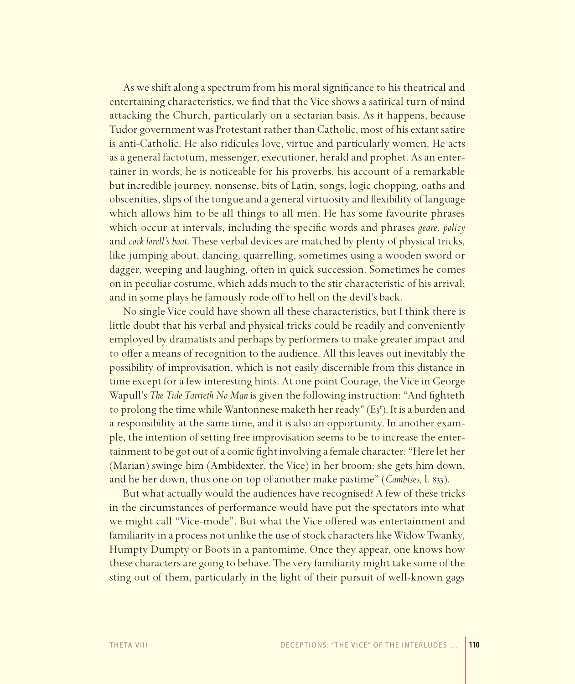As we shift along a spectrum from his moral significance to his theatrical and entertaining characteristics, we find that the Vice shows a satirical turn of mind attacking the Church, particularly on a sectarian basis. As it happens, because Tudor government was Protestant rather than Catholic, most of his extant satire is anti-Catholic. He also ridicules love, virtue and particularly women. He acts as a general factotum, messenger, executioner, herald and prophet. As an entertainer in words, he is noticeable for his proverbs, his account of a remarkable but incredible journey, nonsense, bits of Latin, songs, logic chopping, oaths and obscenities, slips of the tongue and a general virtuosity and flexibility of language which allows him to be all things to all men. He has some favourite phrases which occur at intervals, including the specific words and phrases *geare*, *policy* and *cock lorell's boat*. These verbal devices are matched by plenty of physical tricks, like jumping about, dancing, quarrelling, sometimes using a wooden sword or dagger, weeping and laughing, often in quick succession. Sometimes he comes on in peculiar costume, which adds much to the stir characteristic of his arrival; and in some plays he famously rode off to hell on the devil's back.

No single Vice could have shown all these characteristics, but I think there is little doubt that his verbal and physical tricks could be readily and conveniently employed by dramatists and perhaps by performers to make greater impact and to offer a means of recognition to the audience. All this leaves out inevitably the possibility of improvisation, which is not easily discernible from this distance in time except for a few interesting hints. At one point Courage, the Vice in George Wapull's *The Tide Tarrieth No Man* is given the following instruction: "And fighteth to prolong the time while Wantonnese maketh her ready" (E3'). It is a burden and a responsibility at the same time, and it is also an opportunity. In another example, the intention of setting free improvisation seems to be to increase the entertainment to be got out of a comic fight involving a female character: "Here let her (Marian) swinge him (Ambidexter, the Vice) in her broom: she gets him down, and he her down, thus one on top of another make pastime" (*Cambises,* l. 833).

But what actually would the audiences have recognised? A few of these tricks in the circumstances of performance would have put the spectators into what we might call "Vice-mode". But what the Vice offered was entertainment and familiarity in a process not unlike the use of stock characters like Widow Twanky, Humpty Dumpty or Boots in a pantomime. Once they appear, one knows how these characters are going to behave. The very familiarity might take some of the sting out of them, particularly in the light of their pursuit of well-known gags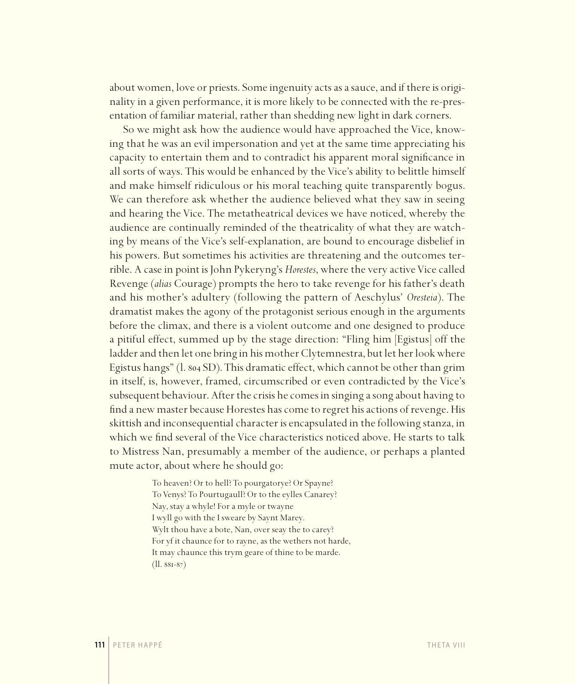about women, love or priests. Some ingenuity acts as a sauce, and if there is originality in a given performance, it is more likely to be connected with the re-presentation of familiar material, rather than shedding new light in dark corners.

So we might ask how the audience would have approached the Vice, knowing that he was an evil impersonation and yet at the same time appreciating his capacity to entertain them and to contradict his apparent moral significance in all sorts of ways. This would be enhanced by the Vice's ability to belittle himself and make himself ridiculous or his moral teaching quite transparently bogus. We can therefore ask whether the audience believed what they saw in seeing and hearing the Vice. The metatheatrical devices we have noticed, whereby the audience are continually reminded of the theatricality of what they are watching by means of the Vice's self-explanation, are bound to encourage disbelief in his powers. But sometimes his activities are threatening and the outcomes terrible. A case in point is John Pykeryng's *Horestes*, where the very active Vice called Revenge (*alias* Courage) prompts the hero to take revenge for his father's death and his mother's adultery (following the pattern of Aeschylus' *Oresteia*). The dramatist makes the agony of the protagonist serious enough in the arguments before the climax, and there is a violent outcome and one designed to produce a pitiful effect, summed up by the stage direction: "Fling him [Egistus] off the ladder and then let one bring in his mother Clytemnestra, but let her look where Egistus hangs" (l. 804 SD). This dramatic effect, which cannot be other than grim in itself, is, however, framed, circumscribed or even contradicted by the Vice's subsequent behaviour. After the crisis he comes in singing a song about having to find a new master because Horestes has come to regret his actions of revenge. His skittish and inconsequential character is encapsulated in the following stanza, in which we find several of the Vice characteristics noticed above. He starts to talk to Mistress Nan, presumably a member of the audience, or perhaps a planted mute actor, about where he should go:

> To heaven? Or to hell? To pourgatorye? Or Spayne? To Venys? To Pourtugaull? Or to the eylles Canarey? Nay, stay a whyle! For a myle or twayne I wyll go with the I sweare by Saynt Marey. Wylt thou have a bote, Nan, over seay the to carey? For yf it chaunce for to rayne, as the wethers not harde, It may chaunce this trym geare of thine to be marde. (ll. 881-87)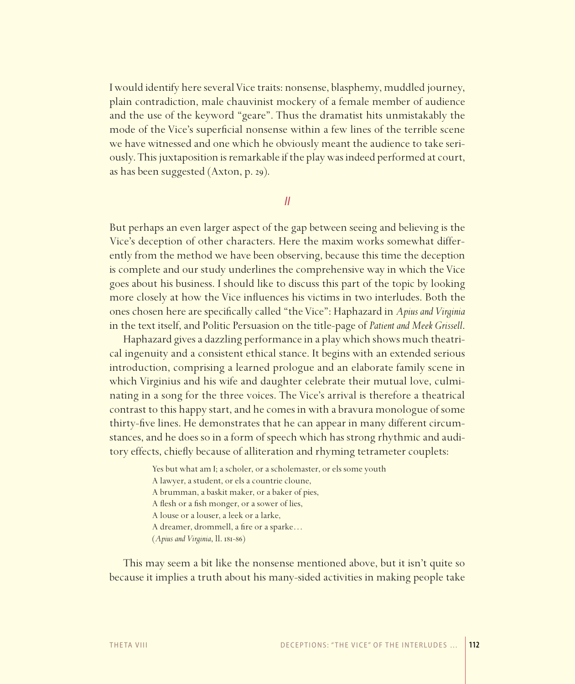I would identify here several Vice traits: nonsense, blasphemy, muddled journey, plain contradiction, male chauvinist mockery of a female member of audience and the use of the keyword "geare". Thus the dramatist hits unmistakably the mode of the Vice's superficial nonsense within a few lines of the terrible scene we have witnessed and one which he obviously meant the audience to take seriously. This juxtaposition is remarkable if the play was indeed performed at court, as has been suggested (Axton, p. 29).

*II* 

But perhaps an even larger aspect of the gap between seeing and believing is the Vice's deception of other characters. Here the maxim works somewhat differently from the method we have been observing, because this time the deception is complete and our study underlines the comprehensive way in which the Vice goes about his business. I should like to discuss this part of the topic by looking more closely at how the Vice influences his victims in two interludes. Both the ones chosen here are specifi cally called "the Vice": Haphazard in *Apius and Virginia*  in the text itself, and Politic Persuasion on the title-page of *Patient and Meek Grissell*.

Haphazard gives a dazzling performance in a play which shows much theatrical ingenuity and a consistent ethical stance. It begins with an extended serious introduction, comprising a learned prologue and an elaborate family scene in which Virginius and his wife and daughter celebrate their mutual love, culminating in a song for the three voices. The Vice's arrival is therefore a theatrical contrast to this happy start, and he comes in with a bravura monologue of some thirty-five lines. He demonstrates that he can appear in many different circumstances, and he does so in a form of speech which has strong rhythmic and auditory effects, chiefly because of alliteration and rhyming tetrameter couplets:

> Yes but what am I; a scholer, or a scholemaster, or els some youth A lawyer, a student, or els a countrie cloune, A brumman, a baskit maker, or a baker of pies, A flesh or a fish monger, or a sower of lies, A louse or a louser, a leek or a larke, A dreamer, drommell, a fire or a sparke... (*Apius and Virginia*, ll. 181-86)

This may seem a bit like the nonsense mentioned above, but it isn't quite so because it implies a truth about his many-sided activities in making people take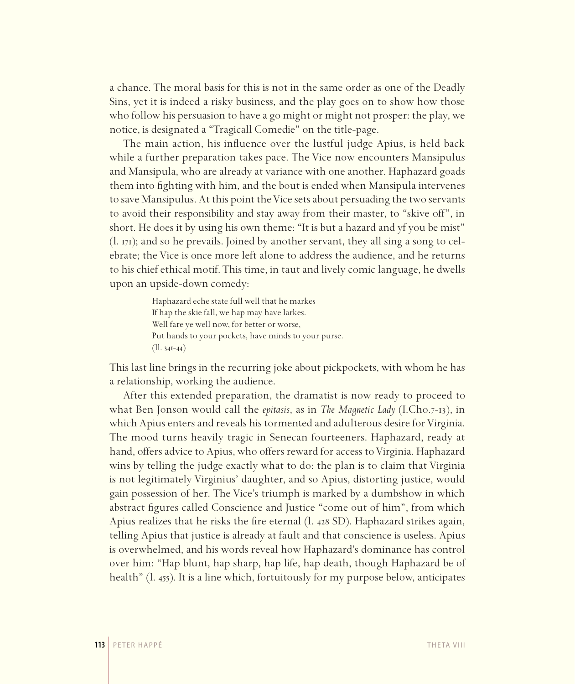a chance. The moral basis for this is not in the same order as one of the Deadly Sins, yet it is indeed a risky business, and the play goes on to show how those who follow his persuasion to have a go might or might not prosper: the play, we notice, is designated a "Tragicall Comedie" on the title-page.

The main action, his influence over the lustful judge Apius, is held back while a further preparation takes pace. The Vice now encounters Mansipulus and Mansipula, who are already at variance with one another. Haphazard goads them into fighting with him, and the bout is ended when Mansipula intervenes to save Mansipulus. At this point the Vice sets about persuading the two servants to avoid their responsibility and stay away from their master, to "skive off", in short. He does it by using his own theme: "It is but a hazard and yf you be mist" (l. 171); and so he prevails. Joined by another servant, they all sing a song to celebrate; the Vice is once more left alone to address the audience, and he returns to his chief ethical motif. This time, in taut and lively comic language, he dwells upon an upside-down comedy:

> Haphazard eche state full well that he markes If hap the skie fall, we hap may have larkes. Well fare ye well now, for better or worse, Put hands to your pockets, have minds to your purse. (ll. 341-44)

This last line brings in the recurring joke about pickpockets, with whom he has a relationship, working the audience.

After this extended preparation, the dramatist is now ready to proceed to what Ben Jonson would call the *epitasis*, as in *The Magnetic Lady* (I.Cho.7-13), in which Apius enters and reveals his tormented and adulterous desire for Virginia. The mood turns heavily tragic in Senecan fourteeners. Haphazard, ready at hand, offers advice to Apius, who offers reward for access to Virginia. Haphazard wins by telling the judge exactly what to do: the plan is to claim that Virginia is not legitimately Virginius' daughter, and so Apius, distorting justice, would gain possession of her. The Vice's triumph is marked by a dumbshow in which abstract figures called Conscience and Justice "come out of him", from which Apius realizes that he risks the fire eternal (l. 428 SD). Haphazard strikes again, telling Apius that justice is already at fault and that conscience is useless. Apius is overwhelmed, and his words reveal how Haphazard's dominance has control over him: "Hap blunt, hap sharp, hap life, hap death, though Haphazard be of health" (l. 455). It is a line which, fortuitously for my purpose below, anticipates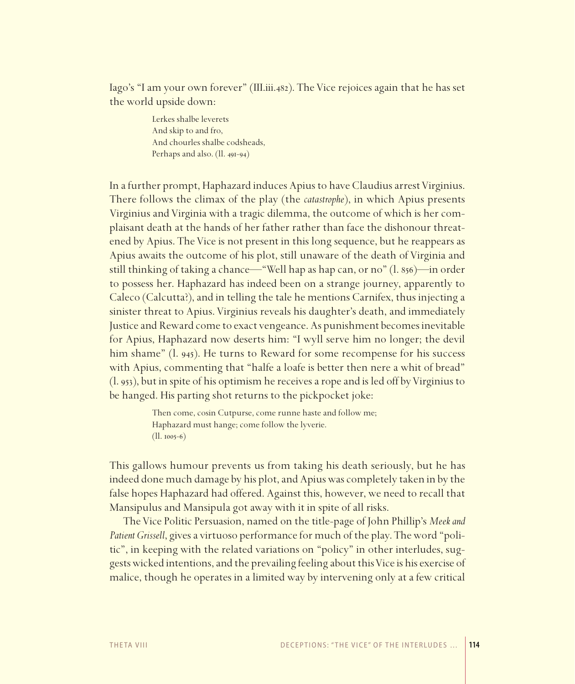Iago's "I am your own forever" (III.iii.482). The Vice rejoices again that he has set the world upside down:

> Lerkes shalbe leverets And skip to and fro, And chourles shalbe codsheads, Perhaps and also. (ll. 491-94)

In a further prompt, Haphazard induces Apius to have Claudius arrest Virginius. There follows the climax of the play (the *catastrophe*), in which Apius presents Virginius and Virginia with a tragic dilemma, the outcome of which is her complaisant death at the hands of her father rather than face the dishonour threatened by Apius. The Vice is not present in this long sequence, but he reappears as Apius awaits the outcome of his plot, still unaware of the death of Virginia and still thinking of taking a chance—"Well hap as hap can, or no" (l. 856)—in order to possess her. Haphazard has indeed been on a strange journey, apparently to Caleco (Calcutta?), and in telling the tale he mentions Carnifex, thus injecting a sinister threat to Apius. Virginius reveals his daughter's death, and immediately Justice and Reward come to exact vengeance. As punishment becomes inevitable for Apius, Haphazard now deserts him: "I wyll serve him no longer; the devil him shame" (l. 945). He turns to Reward for some recompense for his success with Apius, commenting that "halfe a loafe is better then nere a whit of bread" (l. 953), but in spite of his optimism he receives a rope and is led off by Virginius to be hanged. His parting shot returns to the pickpocket joke:

> Then come, cosin Cutpurse, come runne haste and follow me; Haphazard must hange; come follow the lyverie. (ll. 1005-6)

This gallows humour prevents us from taking his death seriously, but he has indeed done much damage by his plot, and Apius was completely taken in by the false hopes Haphazard had offered. Against this, however, we need to recall that Mansipulus and Mansipula got away with it in spite of all risks.

The Vice Politic Persuasion, named on the title-page of John Phillip's *Meek and Patient Grissell*, gives a virtuoso performance for much of the play. The word "politic", in keeping with the related variations on "policy" in other interludes, suggests wicked intentions, and the prevailing feeling about this Vice is his exercise of malice, though he operates in a limited way by intervening only at a few critical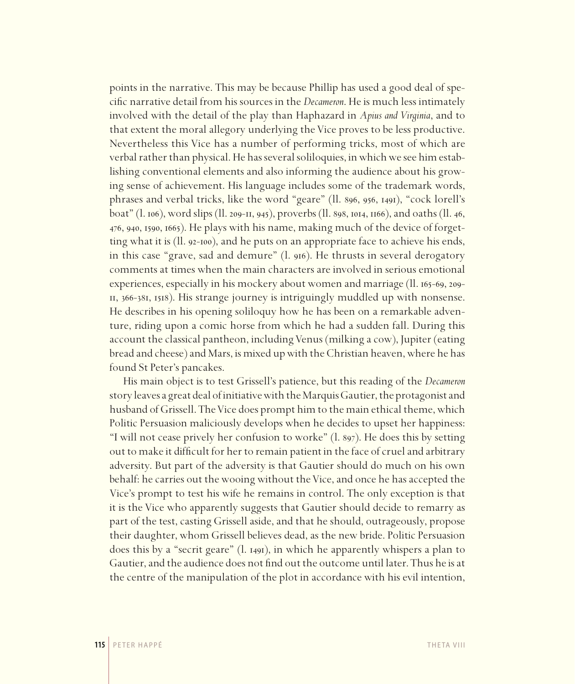points in the narrative. This may be because Phillip has used a good deal of specific narrative detail from his sources in the *Decameron*. He is much less intimately involved with the detail of the play than Haphazard in *Apius and Virginia*, and to that extent the moral allegory underlying the Vice proves to be less productive. Nevertheless this Vice has a number of performing tricks, most of which are verbal rather than physical. He has several soliloquies, in which we see him establishing conventional elements and also informing the audience about his growing sense of achievement. His language includes some of the trademark words, phrases and verbal tricks, like the word "geare" (ll. 896, 956, 1491), "cock lorell's boat" (l. 106), word slips (ll. 209-11, 945), proverbs (ll. 898, 1014, 1166), and oaths (ll. 46, 476, 940, 1590, 1665). He plays with his name, making much of the device of forgetting what it is (ll. 92-100), and he puts on an appropriate face to achieve his ends, in this case "grave, sad and demure" (l. 916). He thrusts in several derogatory comments at times when the main characters are involved in serious emotional experiences, especially in his mockery about women and marriage (ll. 165-69, 209- 11, 366-381, 1518). His strange journey is intriguingly muddled up with nonsense. He describes in his opening soliloquy how he has been on a remarkable adventure, riding upon a comic horse from which he had a sudden fall. During this account the classical pantheon, including Venus (milking a cow), Jupiter (eating bread and cheese) and Mars, is mixed up with the Christian heaven, where he has found St Peter's pancakes.

His main object is to test Grissell's patience, but this reading of the *Decameron* story leaves a great deal of initiative with the Marquis Gautier, the protagonist and husband of Grissell. The Vice does prompt him to the main ethical theme, which Politic Persuasion maliciously develops when he decides to upset her happiness: "I will not cease prively her confusion to worke" (l. 897). He does this by setting out to make it difficult for her to remain patient in the face of cruel and arbitrary adversity. But part of the adversity is that Gautier should do much on his own behalf: he carries out the wooing without the Vice, and once he has accepted the Vice's prompt to test his wife he remains in control. The only exception is that it is the Vice who apparently suggests that Gautier should decide to remarry as part of the test, casting Grissell aside, and that he should, outrageously, propose their daughter, whom Grissell believes dead, as the new bride. Politic Persuasion does this by a "secrit geare" (l. 1491), in which he apparently whispers a plan to Gautier, and the audience does not find out the outcome until later. Thus he is at the centre of the manipulation of the plot in accordance with his evil intention,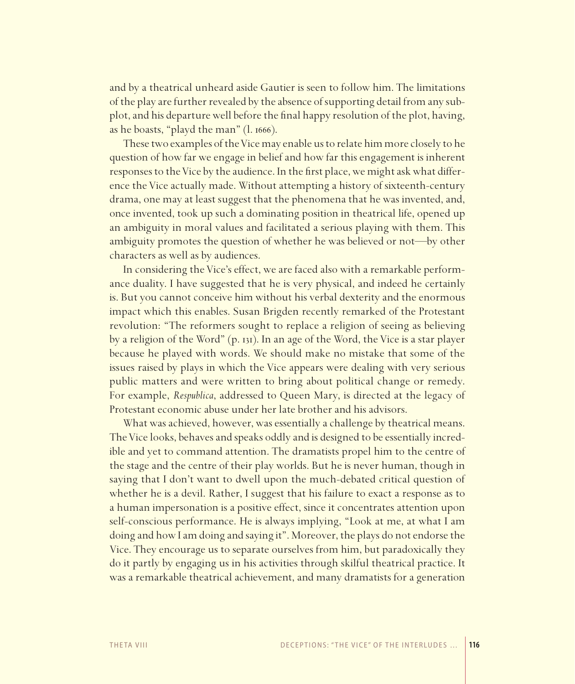and by a theatrical unheard aside Gautier is seen to follow him. The limitations of the play are further revealed by the absence of supporting detail from any subplot, and his departure well before the final happy resolution of the plot, having, as he boasts, "playd the man" (l. 1666).

These two examples of the Vice may enable us to relate him more closely to he question of how far we engage in belief and how far this engagement is inherent responses to the Vice by the audience. In the first place, we might ask what difference the Vice actually made. Without attempting a history of sixteenth-century drama, one may at least suggest that the phenomena that he was invented, and, once invented, took up such a dominating position in theatrical life, opened up an ambiguity in moral values and facilitated a serious playing with them. This ambiguity promotes the question of whether he was believed or not—by other characters as well as by audiences.

In considering the Vice's effect, we are faced also with a remarkable performance duality. I have suggested that he is very physical, and indeed he certainly is. But you cannot conceive him without his verbal dexterity and the enormous impact which this enables. Susan Brigden recently remarked of the Protestant revolution: "The reformers sought to replace a religion of seeing as believing by a religion of the Word" (p. 131). In an age of the Word, the Vice is a star player because he played with words. We should make no mistake that some of the issues raised by plays in which the Vice appears were dealing with very serious public matters and were written to bring about political change or remedy. For example, *Respublica*, addressed to Queen Mary, is directed at the legacy of Protestant economic abuse under her late brother and his advisors.

What was achieved, however, was essentially a challenge by theatrical means. The Vice looks, behaves and speaks oddly and is designed to be essentially incredible and yet to command attention. The dramatists propel him to the centre of the stage and the centre of their play worlds. But he is never human, though in saying that I don't want to dwell upon the much-debated critical question of whether he is a devil. Rather, I suggest that his failure to exact a response as to a human impersonation is a positive effect, since it concentrates attention upon self-conscious performance. He is always implying, "Look at me, at what I am doing and how I am doing and saying it". Moreover, the plays do not endorse the Vice. They encourage us to separate ourselves from him, but paradoxically they do it partly by engaging us in his activities through skilful theatrical practice. It was a remarkable theatrical achievement, and many dramatists for a generation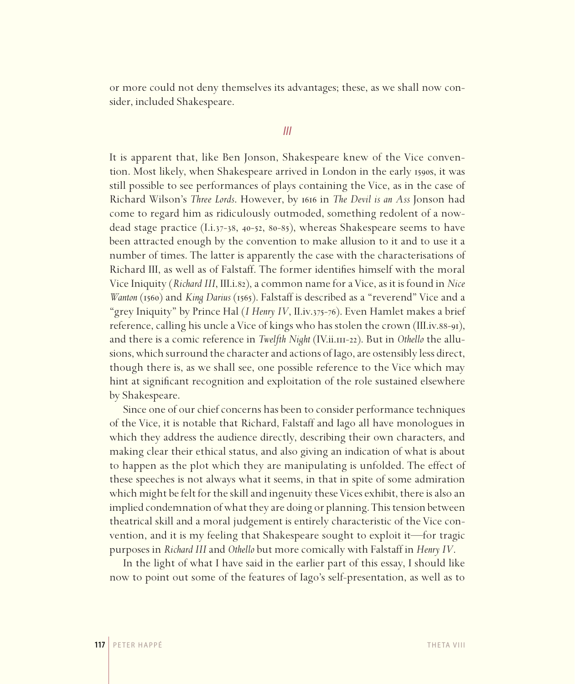or more could not deny themselves its advantages; these, as we shall now consider, included Shakespeare.

#### *III*

It is apparent that, like Ben Jonson, Shakespeare knew of the Vice convention. Most likely, when Shakespeare arrived in London in the early 1590s, it was still possible to see performances of plays containing the Vice, as in the case of Richard Wilson's *Three Lords*. However, by 1616 in *The Devil is an Ass* Jonson had come to regard him as ridiculously outmoded, something redolent of a nowdead stage practice (I.i.37-38, 40-52, 80-85), whereas Shakespeare seems to have been attracted enough by the convention to make allusion to it and to use it a number of times. The latter is apparently the case with the characterisations of Richard III, as well as of Falstaff. The former identifies himself with the moral Vice Iniquity (*Richard III*, III.i.82), a common name for a Vice, as it is found in *Nice Wanton* (1560) and *King Darius* (1565). Falstaff is described as a "reverend" Vice and a "grey Iniquity" by Prince Hal (*I Henry IV*, II.iv.375-76). Even Hamlet makes a brief reference, calling his uncle a Vice of kings who has stolen the crown (III.iv.88-91), and there is a comic reference in *Twelfth Night* (IV.ii.111-22). But in *Othello* the allusions, which surround the character and actions of Iago, are ostensibly less direct, though there is, as we shall see, one possible reference to the Vice which may hint at significant recognition and exploitation of the role sustained elsewhere by Shakespeare.

Since one of our chief concerns has been to consider performance techniques of the Vice, it is notable that Richard, Falstaff and Iago all have monologues in which they address the audience directly, describing their own characters, and making clear their ethical status, and also giving an indication of what is about to happen as the plot which they are manipulating is unfolded. The effect of these speeches is not always what it seems, in that in spite of some admiration which might be felt for the skill and ingenuity these Vices exhibit, there is also an implied condemnation of what they are doing or planning. This tension between theatrical skill and a moral judgement is entirely characteristic of the Vice convention, and it is my feeling that Shakespeare sought to exploit it—for tragic purposes in *Richard III* and *Othello* but more comically with Falstaff in *Henry IV*.

In the light of what I have said in the earlier part of this essay, I should like now to point out some of the features of Iago's self-presentation, as well as to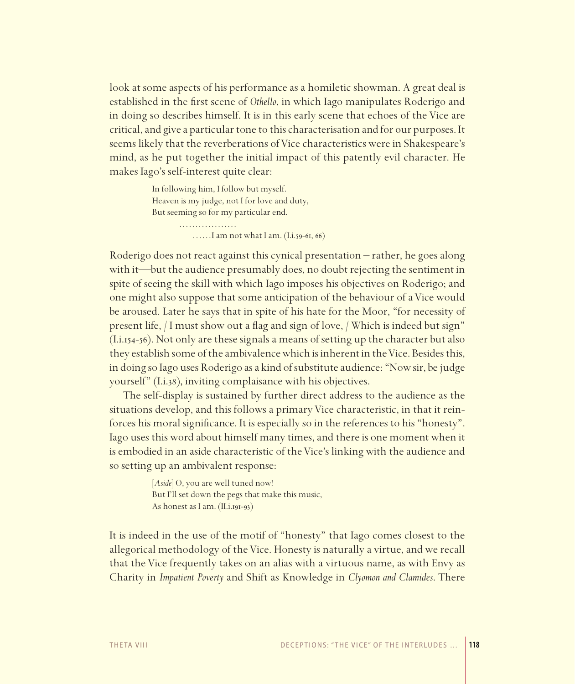look at some aspects of his performance as a homiletic showman. A great deal is established in the first scene of *Othello*, in which Iago manipulates Roderigo and in doing so describes himself. It is in this early scene that echoes of the Vice are critical, and give a particular tone to this characterisation and for our purposes. It seems likely that the reverberations of Vice characteristics were in Shakespeare's mind, as he put together the initial impact of this patently evil character. He makes Iago's self-interest quite clear:

> In following him, I follow but myself. Heaven is my judge, not I for love and duty, But seeming so for my particular end. ……………… ……I am not what I am. (I.i.59-61, 66)

Roderigo does not react against this cynical presentation – rather, he goes along with it—but the audience presumably does, no doubt rejecting the sentiment in spite of seeing the skill with which Iago imposes his objectives on Roderigo; and one might also suppose that some anticipation of the behaviour of a Vice would be aroused. Later he says that in spite of his hate for the Moor, "for necessity of present life, / I must show out a flag and sign of love, / Which is indeed but sign" (I.i.154-56). Not only are these signals a means of setting up the character but also they establish some of the ambivalence which is inherent in the Vice. Besides this, in doing so Iago uses Roderigo as a kind of substitute audience: "Now sir, be judge yourself" (I.i.38), inviting complaisance with his objectives.

The self-display is sustained by further direct address to the audience as the situations develop, and this follows a primary Vice characteristic, in that it reinforces his moral significance. It is especially so in the references to his "honesty". Iago uses this word about himself many times, and there is one moment when it is embodied in an aside characteristic of the Vice's linking with the audience and so setting up an ambivalent response:

> [*Aside*] O, you are well tuned now! But I'll set down the pegs that make this music, As honest as I am. (II.i.191-93)

It is indeed in the use of the motif of "honesty" that Iago comes closest to the allegorical methodology of the Vice. Honesty is naturally a virtue, and we recall that the Vice frequently takes on an alias with a virtuous name, as with Envy as Charity in *Impatient Poverty* and Shift as Knowledge in *Clyomon and Clamides*. There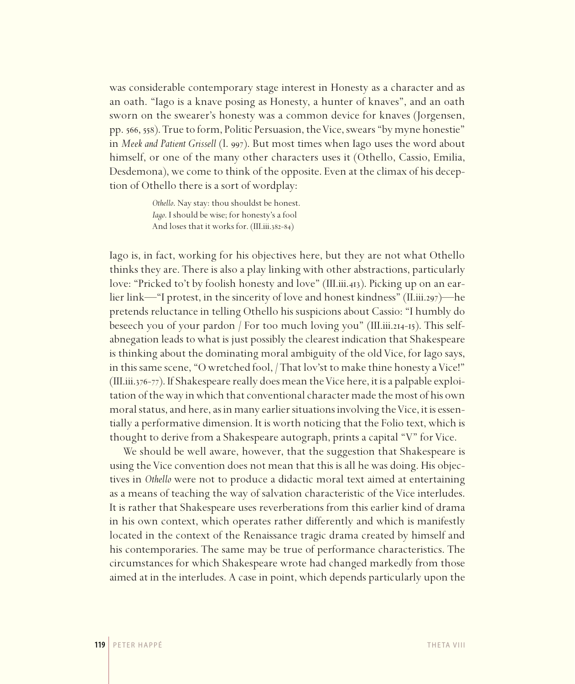was considerable contemporary stage interest in Honesty as a character and as an oath. "Iago is a knave posing as Honesty, a hunter of knaves", and an oath sworn on the swearer's honesty was a common device for knaves (Jorgensen, pp. 566, 558). True to form, Politic Persuasion, the Vice, swears "by myne honestie" in *Meek and Patient Grissell* (l. 997). But most times when Iago uses the word about himself, or one of the many other characters uses it (Othello, Cassio, Emilia, Desdemona), we come to think of the opposite. Even at the climax of his deception of Othello there is a sort of wordplay:

> *Othello*. Nay stay: thou shouldst be honest. *Iago*. I should be wise; for honesty's a fool And loses that it works for. (III.iii.382-84)

Iago is, in fact, working for his objectives here, but they are not what Othello thinks they are. There is also a play linking with other abstractions, particularly love: "Pricked to't by foolish honesty and love" (III.iii.413). Picking up on an earlier link—"I protest, in the sincerity of love and honest kindness" (II.iii.297)—he pretends reluctance in telling Othello his suspicions about Cassio: "I humbly do beseech you of your pardon / For too much loving you" (III.iii.214-15). This selfabnegation leads to what is just possibly the clearest indication that Shakespeare is thinking about the dominating moral ambiguity of the old Vice, for Iago says, in this same scene, "O wretched fool, / That lov'st to make thine honesty a Vice!" (III.iii.376-77). If Shakespeare really does mean the Vice here, it is a palpable exploitation of the way in which that conventional character made the most of his own moral status, and here, as in many earlier situations involving the Vice, it is essentially a performative dimension. It is worth noticing that the Folio text, which is thought to derive from a Shakespeare autograph, prints a capital "V" for Vice.

We should be well aware, however, that the suggestion that Shakespeare is using the Vice convention does not mean that this is all he was doing. His objectives in *Othello* were not to produce a didactic moral text aimed at entertaining as a means of teaching the way of salvation characteristic of the Vice interludes. It is rather that Shakespeare uses reverberations from this earlier kind of drama in his own context, which operates rather differently and which is manifestly located in the context of the Renaissance tragic drama created by himself and his contemporaries. The same may be true of performance characteristics. The circumstances for which Shakespeare wrote had changed markedly from those aimed at in the interludes. A case in point, which depends particularly upon the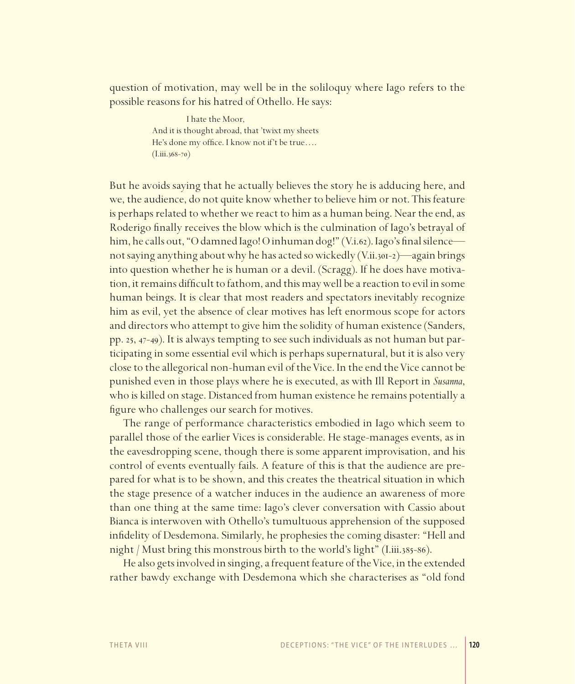question of motivation, may well be in the soliloquy where Iago refers to the possible reasons for his hatred of Othello. He says:

> I hate the Moor, And it is thought abroad, that 'twixt my sheets He's done my office. I know not if't be true....  $(I.iii.368-70)$

But he avoids saying that he actually believes the story he is adducing here, and we, the audience, do not quite know whether to believe him or not. This feature is perhaps related to whether we react to him as a human being. Near the end, as Roderigo finally receives the blow which is the culmination of Iago's betrayal of him, he calls out, "O damned Iago! O inhuman dog!" (V.i.62). Iago's final silence not saying anything about why he has acted so wickedly (V.ii.301-2)—again brings into question whether he is human or a devil. (Scragg). If he does have motivation, it remains difficult to fathom, and this may well be a reaction to evil in some human beings. It is clear that most readers and spectators inevitably recognize him as evil, yet the absence of clear motives has left enormous scope for actors and directors who attempt to give him the solidity of human existence (Sanders, pp. 25, 47-49). It is always tempting to see such individuals as not human but participating in some essential evil which is perhaps supernatural, but it is also very close to the allegorical non-human evil of the Vice. In the end the Vice cannot be punished even in those plays where he is executed, as with Ill Report in *Susanna*, who is killed on stage. Distanced from human existence he remains potentially a figure who challenges our search for motives.

The range of performance characteristics embodied in Iago which seem to parallel those of the earlier Vices is considerable. He stage-manages events, as in the eavesdropping scene, though there is some apparent improvisation, and his control of events eventually fails. A feature of this is that the audience are prepared for what is to be shown, and this creates the theatrical situation in which the stage presence of a watcher induces in the audience an awareness of more than one thing at the same time: Iago's clever conversation with Cassio about Bianca is interwoven with Othello's tumultuous apprehension of the supposed infidelity of Desdemona. Similarly, he prophesies the coming disaster: "Hell and night / Must bring this monstrous birth to the world's light" (I.iii.385-86).

He also gets involved in singing, a frequent feature of the Vice, in the extended rather bawdy exchange with Desdemona which she characterises as "old fond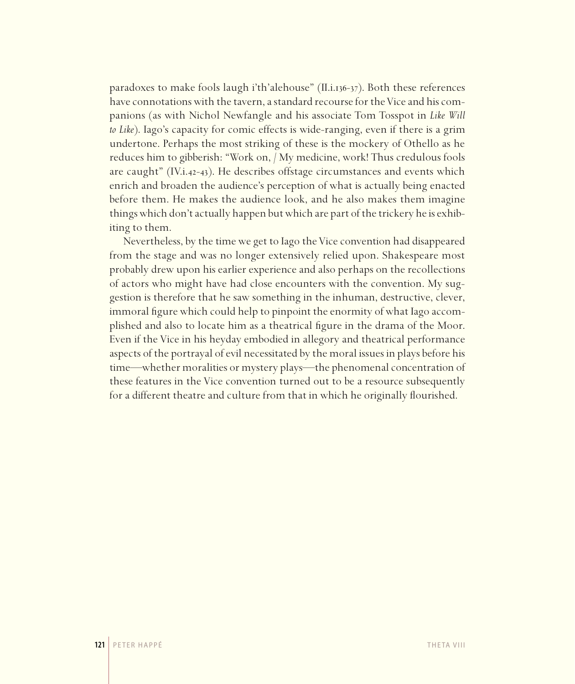paradoxes to make fools laugh i'th'alehouse" (II.i.136-37). Both these references have connotations with the tavern, a standard recourse for the Vice and his companions (as with Nichol Newfangle and his associate Tom Tosspot in *Like Will to Like*). Iago's capacity for comic effects is wide-ranging, even if there is a grim undertone. Perhaps the most striking of these is the mockery of Othello as he reduces him to gibberish: "Work on, / My medicine, work! Thus credulous fools are caught" (IV.i.42-43). He describes offstage circumstances and events which enrich and broaden the audience's perception of what is actually being enacted before them. He makes the audience look, and he also makes them imagine things which don't actually happen but which are part of the trickery he is exhibiting to them.

Nevertheless, by the time we get to Iago the Vice convention had disappeared from the stage and was no longer extensively relied upon. Shakespeare most probably drew upon his earlier experience and also perhaps on the recollections of actors who might have had close encounters with the convention. My suggestion is therefore that he saw something in the inhuman, destructive, clever, immoral figure which could help to pinpoint the enormity of what Iago accomplished and also to locate him as a theatrical figure in the drama of the Moor. Even if the Vice in his heyday embodied in allegory and theatrical performance aspects of the portrayal of evil necessitated by the moral issues in plays before his time—whether moralities or mystery plays—the phenomenal concentration of these features in the Vice convention turned out to be a resource subsequently for a different theatre and culture from that in which he originally flourished.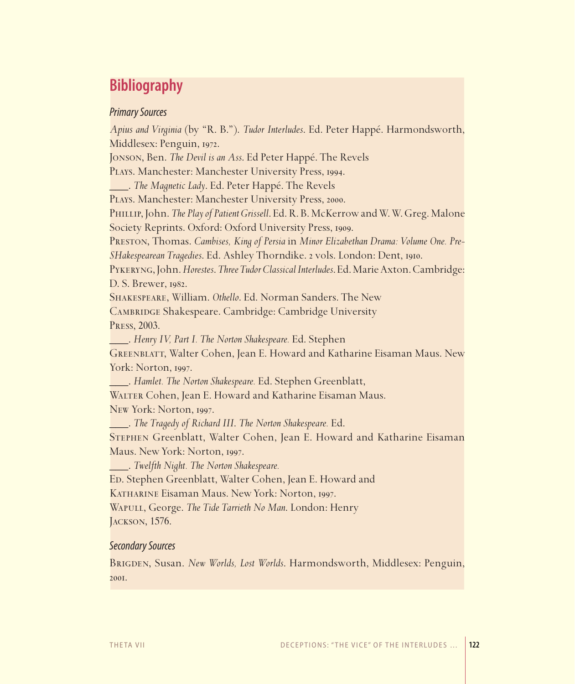## **Bibliography**

#### *Primary Sources*

*Apius and Virginia* (by "R. B."). *Tudor Interludes*. Ed. Peter Happé. Harmondsworth, Middlesex: Penguin, 1972. Jonson, Ben. *The Devil is an Ass*. Ed Peter Happé. The Revels Plays. Manchester: Manchester University Press, 1994. \_\_\_. *The Magnetic Lady*. Ed. Peter Happé. The Revels Plays. Manchester: Manchester University Press, 2000. Phillip, John. *The Play of Patient Grissell*. Ed. R. B. McKerrow and W. W. Greg. Malone Society Reprints. Oxford: Oxford University Press, 1909. Preston, Thomas. *Cambises, King of Persia* in *Minor Elizabethan Drama: Volume One. Pre-SHakespearean Tragedies*. Ed. Ashley Thorndike. 2 vols. London: Dent, 1910. Pykeryng, John. *Horestes*. *Three Tudor Classical Interludes*. Ed. Marie Axton. Cambridge: D. S. Brewer, 1982. Shakespeare, William. *Othello*. Ed. Norman Sanders. The New Cambridge Shakespeare. Cambridge: Cambridge University Press, 2003. \_\_\_. *Henry IV, Part I. The Norton Shakespeare.* Ed. Stephen Greenblatt, Walter Cohen, Jean E. Howard and Katharine Eisaman Maus. New York: Norton, 1997. \_\_\_. *Hamlet. The Norton Shakespeare.* Ed. Stephen Greenblatt, WALTER Cohen, Jean E. Howard and Katharine Eisaman Maus. New York: Norton, 1997. \_\_\_. *The Tragedy of Richard III*. *The Norton Shakespeare.* Ed. Stephen Greenblatt, Walter Cohen, Jean E. Howard and Katharine Eisaman Maus. New York: Norton, 1997. \_\_\_. *Twelfth Night. The Norton Shakespeare.* Ed. Stephen Greenblatt, Walter Cohen, Jean E. Howard and Katharine Eisaman Maus. New York: Norton, 1997. Wapull, George. *The Tide Tarrieth No Man*. London: Henry Jackson, 1576.

#### *Secondary Sources*

Brigden, Susan. *New Worlds, Lost Worlds*. Harmondsworth, Middlesex: Penguin, 2001.